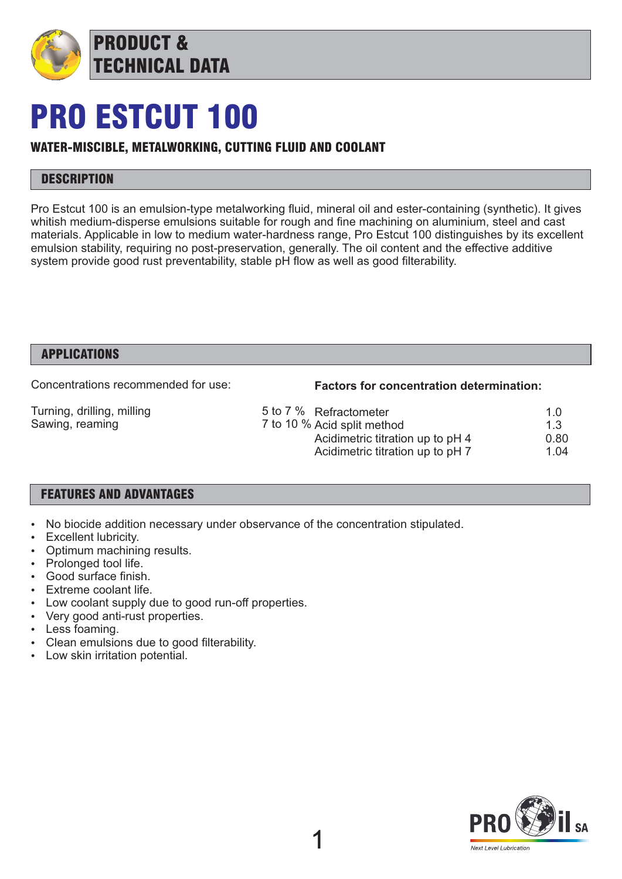

## PRO ESTCUT 100

## WATER-MISCIBLE, METALWORKING, CUTTING FLUID AND COOLANT

## **DESCRIPTION**

Pro Estcut 100 is an emulsion-type metalworking fluid, mineral oil and ester-containing (synthetic). It gives whitish medium-disperse emulsions suitable for rough and fine machining on aluminium, steel and cast materials. Applicable in low to medium water-hardness range, Pro Estcut 100 distinguishes by its excellent emulsion stability, requiring no post-preservation, generally. The oil content and the effective additive system provide good rust preventability, stable pH flow as well as good filterability.

#### APPLICATIONS

Concentrations recommended for use:

#### **Factors for concentration determination:**

Turning, drilling, milling Sawing, reaming

#### 5 to 7 % Refractometer 1.0<br>7 to 10 % Acid split method 1.3 7 to 10 % Acid split method 1.3<br>Acidimetric titration up to pH 4 0.80 Acidimetric titration up to pH 4 0.80<br>Acidimetric titration up to pH 7 1.04 Acidimetric titration up to pH 7.

## FEATURES AND ADVANTAGES

- No biocide addition necessary under observance of the concentration stipulated.
- Excellent lubricity.
- Optimum machining results.
- Prolonged tool life.
- Good surface finish.
- Extreme coolant life.
- Low coolant supply due to good run-off properties.
- Very good anti-rust properties.
- Less foaming.
- Clean emulsions due to good filterability.
- Low skin irritation potential.